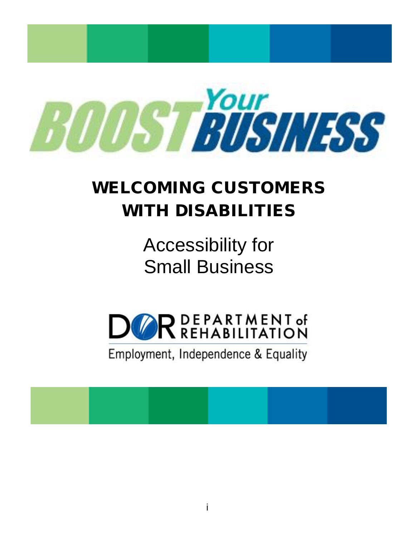

# WELCOMING CUSTOMERS WITH DISABILITIES

Accessibility for Small Business



Employment, Independence & Equality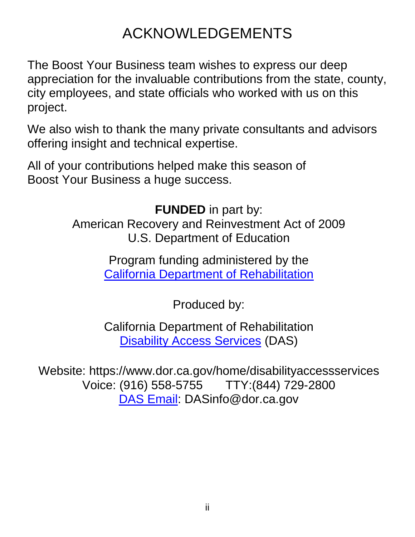## ACKNOWLEDGEMENTS

The Boost Your Business team wishes to express our deep appreciation for the invaluable contributions from the state, county, city employees, and state officials who worked with us on this project.

We also wish to thank the many private consultants and advisors offering insight and technical expertise.

All of your contributions helped make this season of Boost Your Business a huge success.

> **FUNDED** in part by: American Recovery and Reinvestment Act of 2009 U.S. Department of Education

> > Program funding administered by the [California Department of Rehabilitation](http://www.dor.ca.gov/)

> > > Produced by:

California Department of Rehabilitation **[Disability Access Services](http://www.dor.ca.gov/home/disabilityaccessservices) (DAS)** 

Website: https://www.dor.ca.gov/home/disabilityaccessservices Voice: (916) 558-5755 TTY:(844) 729-2800 [DAS Email:](mailto:DASinfo@dor.ca.gov) DASinfo@dor.ca.gov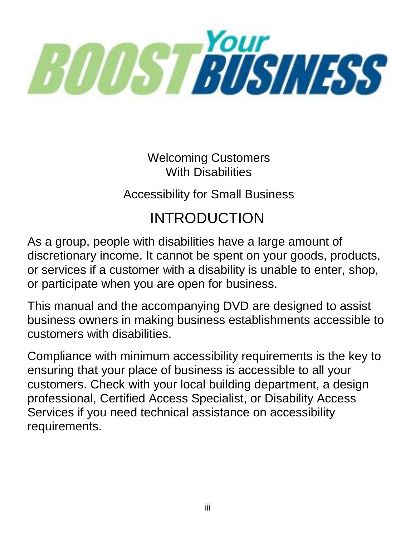

Welcoming Customers With Disabilities

Accessibility for Small Business

# INTRODUCTION

As a group, people with disabilities have a large amount of discretionary income. It cannot be spent on your goods, products, or services if a customer with a disability is unable to enter, shop, or participate when you are open for business.

This manual and the accompanying DVD are designed to assist business owners in making business establishments accessible to customers with disabilities.

Compliance with minimum accessibility requirements is the key to ensuring that your place of business is accessible to all your customers. Check with your local building department, a design professional, Certified Access Specialist, or Disability Access Services if you need technical assistance on accessibility requirements.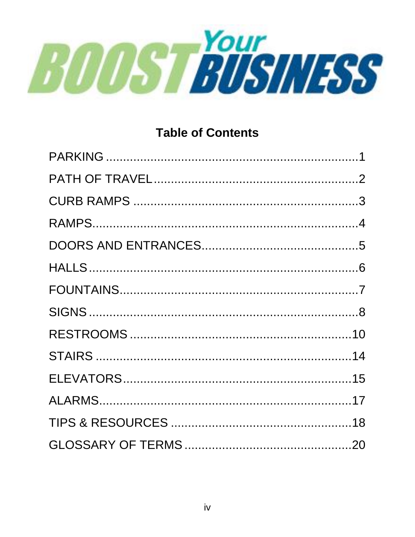

#### **Table of Contents**

<span id="page-3-0"></span>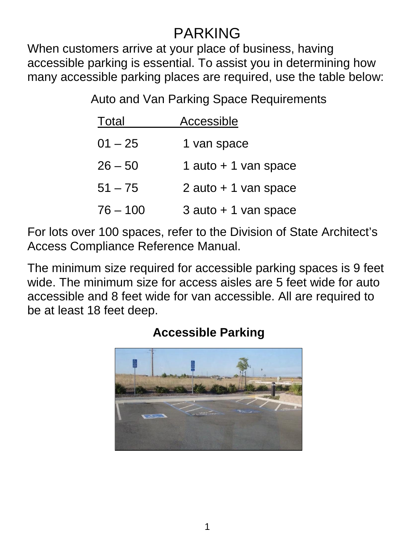### PARKING

When customers arrive at your place of business, having accessible parking is essential. To assist you in determining how many accessible parking places are required, use the table below:

Auto and Van Parking Space Requirements

| Total      | Accessible              |
|------------|-------------------------|
| $01 - 25$  | 1 van space             |
| $26 - 50$  | 1 auto + 1 van space    |
| $51 - 75$  | $2$ auto $+1$ van space |
| $76 - 100$ | $3$ auto $+1$ van space |

For lots over 100 spaces, refer to the Division of State Architect's Access Compliance Reference Manual.

The minimum size required for accessible parking spaces is 9 feet wide. The minimum size for access aisles are 5 feet wide for auto accessible and 8 feet wide for van accessible. All are required to be at least 18 feet deep.

<span id="page-4-0"></span>

#### **Accessible Parking**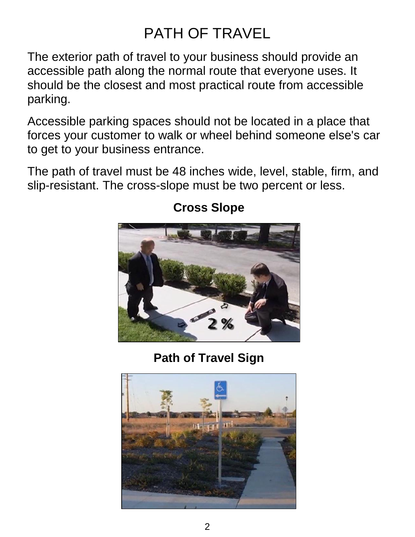# PATH OF TRAVEL

The exterior path of travel to your business should provide an accessible path along the normal route that everyone uses. It should be the closest and most practical route from accessible parking.

Accessible parking spaces should not be located in a place that forces your customer to walk or wheel behind someone else's car to get to your business entrance.

The path of travel must be 48 inches wide, level, stable, firm, and slip-resistant. The cross-slope must be two percent or less.



#### **Cross Slope**

### **Path of Travel Sign**

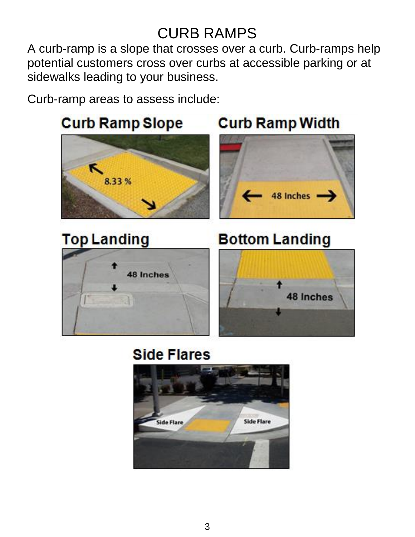### CURB RAMPS

<span id="page-6-0"></span>A curb-ramp is a slope that crosses over a curb. Curb-ramps help potential customers cross over curbs at accessible parking or at sidewalks leading to your business.

Curb-ramp areas to assess include:



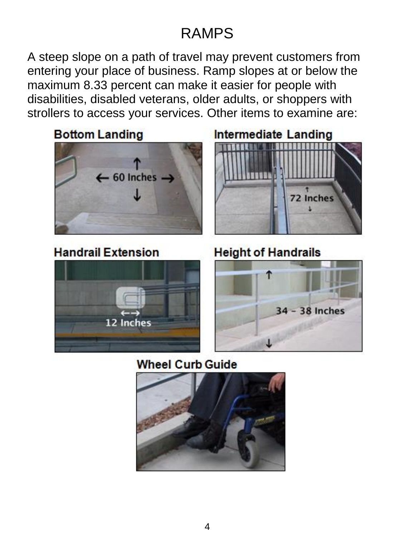### RAMPS

<span id="page-7-0"></span>A steep slope on a path of travel may prevent customers from entering your place of business. Ramp slopes at or below the maximum 8.33 percent can make it easier for people with disabilities, disabled veterans, older adults, or shoppers with strollers to access your services. Other items to examine are:

**Bottom Landing**  $\leftarrow$  60 Inches  $\rightarrow$ 

#### **Handrail Extension**





**Height of Handrails** 



**Wheel Curb Guide** 

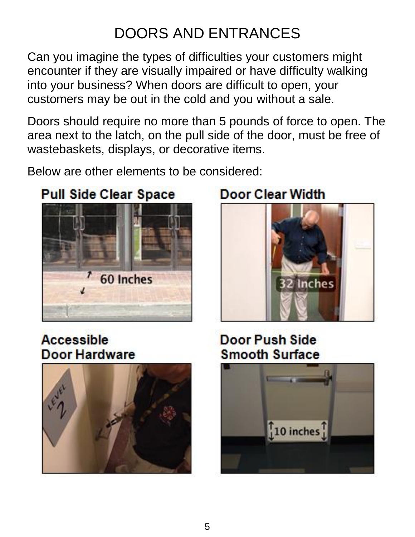# DOORS AND ENTRANCES

<span id="page-8-0"></span>Can you imagine the types of difficulties your customers might encounter if they are visually impaired or have difficulty walking into your business? When doors are difficult to open, your customers may be out in the cold and you without a sale.

Doors should require no more than 5 pounds of force to open. The area next to the latch, on the pull side of the door, must be free of wastebaskets, displays, or decorative items.

Below are other elements to be considered:

### **Pull Side Clear Space**





**Accessible** Door Hardware



Door Push Side **Smooth Surface** 

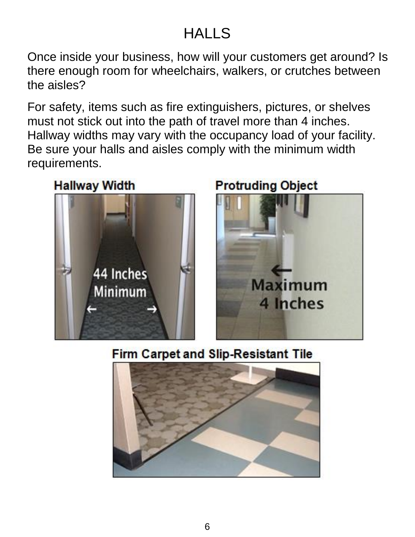### **HALLS**

<span id="page-9-0"></span>Once inside your business, how will your customers get around? Is there enough room for wheelchairs, walkers, or crutches between the aisles?

For safety, items such as fire extinguishers, pictures, or shelves must not stick out into the path of travel more than 4 inches. Hallway widths may vary with the occupancy load of your facility. Be sure your halls and aisles comply with the minimum width requirements.





### **Protruding Object**



### **Firm Carpet and Slip-Resistant Tile**

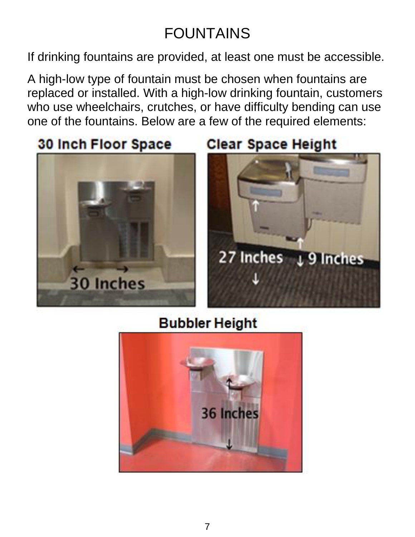# FOUNTAINS

<span id="page-10-0"></span>If drinking fountains are provided, at least one must be accessible.

A high-low type of fountain must be chosen when fountains are replaced or installed. With a high-low drinking fountain, customers who use wheelchairs, crutches, or have difficulty bending can use one of the fountains. Below are a few of the required elements:

30 Inch Floor Space



**Clear Space Height** 



### **Bubbler Height**

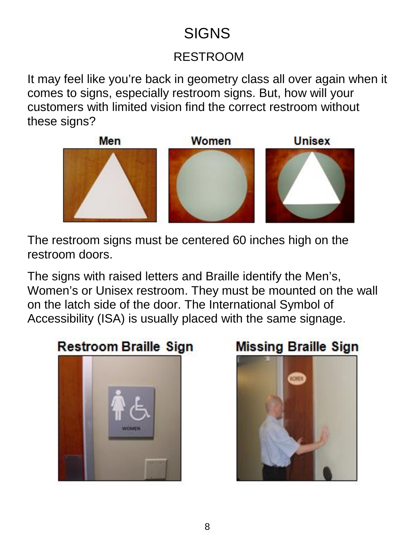## **SIGNS**

#### RESTROOM

<span id="page-11-0"></span>It may feel like you're back in geometry class all over again when it comes to signs, especially restroom signs. But, how will your customers with limited vision find the correct restroom without these signs?



The restroom signs must be centered 60 inches high on the restroom doors.

The signs with raised letters and Braille identify the Men's, Women's or Unisex restroom. They must be mounted on the wall on the latch side of the door. The International Symbol of Accessibility (ISA) is usually placed with the same signage.

## **Restroom Braille Sign**



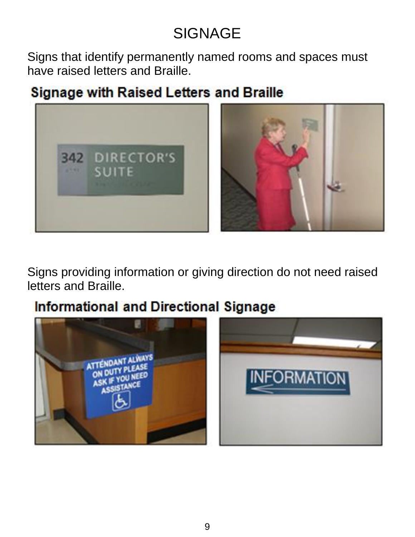# **SIGNAGE**

Signs that identify permanently named rooms and spaces must have raised letters and Braille.

### **Signage with Raised Letters and Braille**



Signs providing information or giving direction do not need raised letters and Braille.

### **Informational and Directional Signage**

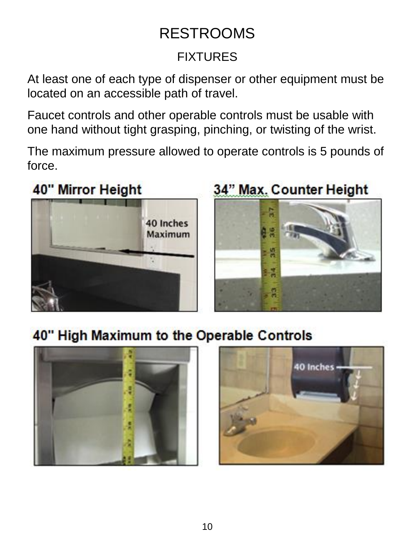### FIXTURES

<span id="page-13-0"></span>At least one of each type of dispenser or other equipment must be located on an accessible path of travel.

Faucet controls and other operable controls must be usable with one hand without tight grasping, pinching, or twisting of the wrist.

The maximum pressure allowed to operate controls is 5 pounds of force.

## 40" Mirror Height



# 34" Max. Counter Height



### 40" High Maximum to the Operable Controls



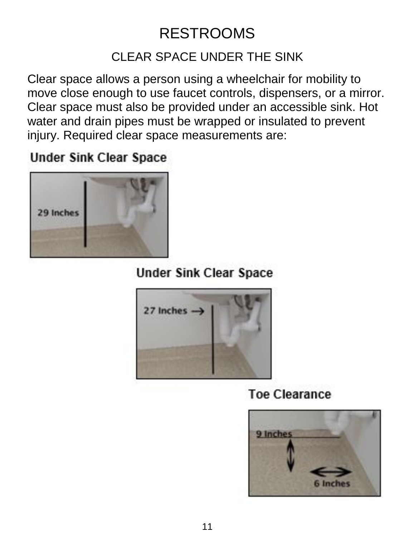#### CLEAR SPACE UNDER THE SINK

Clear space allows a person using a wheelchair for mobility to move close enough to use faucet controls, dispensers, or a mirror. Clear space must also be provided under an accessible sink. Hot water and drain pipes must be wrapped or insulated to prevent injury. Required clear space measurements are:

#### **Under Sink Clear Space**



### **Under Sink Clear Space**



### **Toe Clearance**

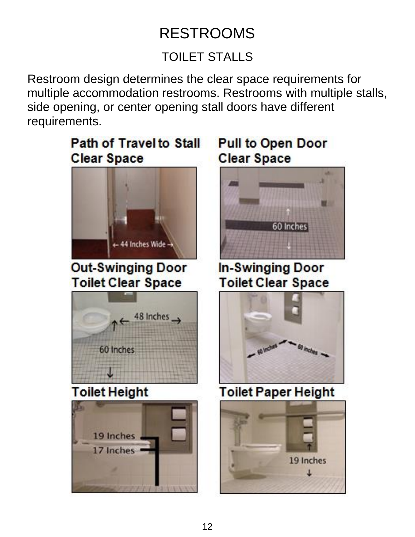### TOILET STALLS

Restroom design determines the clear space requirements for multiple accommodation restrooms. Restrooms with multiple stalls, side opening, or center opening stall doors have different requirements.

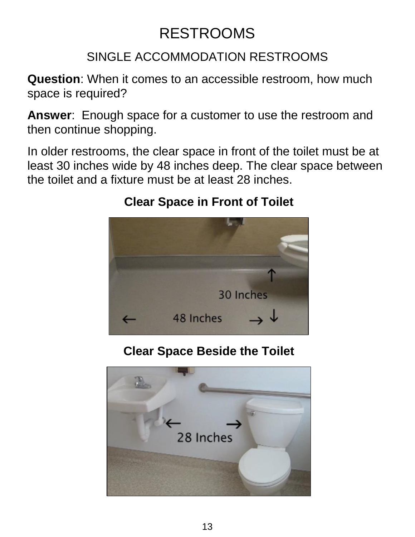#### SINGLE ACCOMMODATION RESTROOMS

**Question**: When it comes to an accessible restroom, how much space is required?

**Answer**: Enough space for a customer to use the restroom and then continue shopping.

In older restrooms, the clear space in front of the toilet must be at least 30 inches wide by 48 inches deep. The clear space between the toilet and a fixture must be at least 28 inches.

### **Clear Space in Front of Toilet**



### **Clear Space Beside the Toilet**

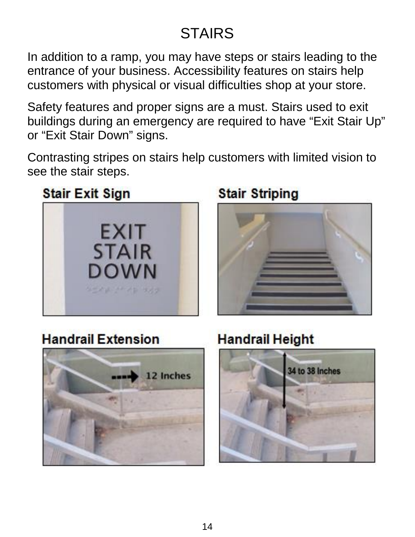# STAIRS

<span id="page-17-0"></span>In addition to a ramp, you may have steps or stairs leading to the entrance of your business. Accessibility features on stairs help customers with physical or visual difficulties shop at your store.

Safety features and proper signs are a must. Stairs used to exit buildings during an emergency are required to have "Exit Stair Up" or "Exit Stair Down" signs.

Contrasting stripes on stairs help customers with limited vision to see the stair steps.

### **Stair Exit Sign**



### **Stair Striping**



### **Handrail Extension**



### **Handrail Height**

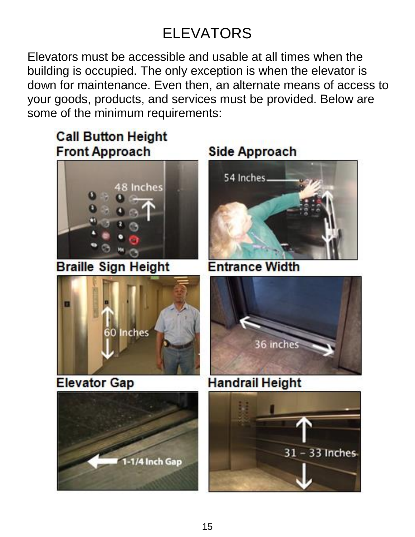# ELEVATORS

<span id="page-18-0"></span>Elevators must be accessible and usable at all times when the building is occupied. The only exception is when the elevator is down for maintenance. Even then, an alternate means of access to your goods, products, and services must be provided. Below are some of the minimum requirements:

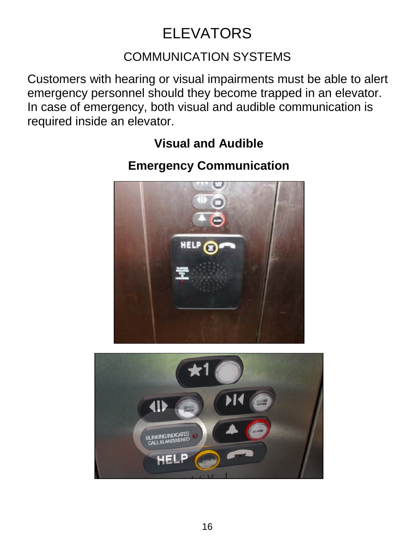# ELEVATORS

#### COMMUNICATION SYSTEMS

Customers with hearing or visual impairments must be able to alert emergency personnel should they become trapped in an elevator. In case of emergency, both visual and audible communication is required inside an elevator.

#### **Visual and Audible**

#### **Emergency Communication**



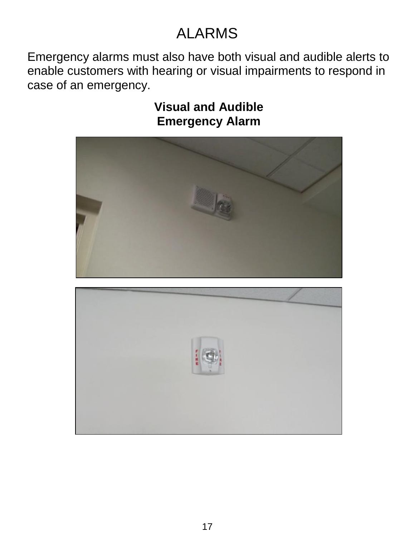## ALARMS

<span id="page-20-0"></span>Emergency alarms must also have both visual and audible alerts to enable customers with hearing or visual impairments to respond in case of an emergency.

> **Visual and Audible Emergency Alarm**



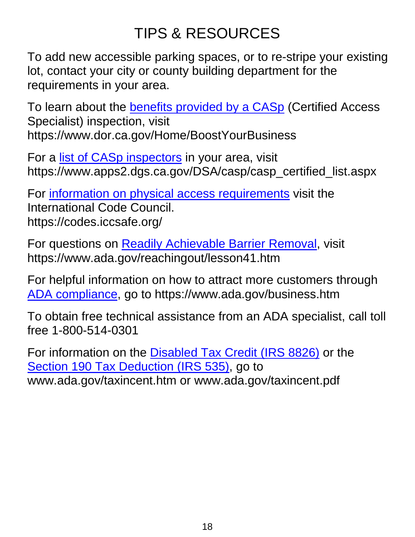# TIPS & RESOURCES

<span id="page-21-0"></span>To add new accessible parking spaces, or to re-stripe your existing lot, contact your city or county building department for the requirements in your area.

To learn about the **benefits provided by a CASp** (Certified Access Specialist) inspection, visit https://www.dor.ca.gov/Home/BoostYourBusiness

For a [list of CASp inspectors](https://www.apps2.dgs.ca.gov/DSA/casp/casp_certified_list.aspx) in your area, visit https://www.apps2.dgs.ca.gov/DSA/casp/casp\_certified\_list.aspx

For [information on physical access requirements](https://codes.iccsafe.org/) visit the International Code Council. https://codes.iccsafe.org/

For questions on **Readily Achievable Barrier Removal**, visit https://www.ada.gov/reachingout/lesson41.htm

For helpful information on how to attract more customers through [ADA compliance,](https://www.ada.gov/business.htm) go to https://www.ada.gov/business.htm

To obtain free technical assistance from an ADA specialist, call toll free 1-800-514-0301

For information on the **Disabled Tax Credit (IRS 8826)** or the [Section 190 Tax Deduction \(IRS 535\),](http://www.ada.gov/taxincent.pdf) go to www.ada.gov/taxincent.htm or www.ada.gov/taxincent.pdf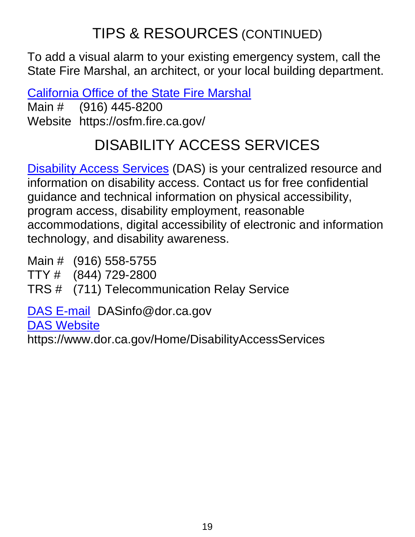# TIPS & RESOURCES (CONTINUED)

To add a visual alarm to your existing emergency system, call the State Fire Marshal, an architect, or your local building department.

[California Office of the State Fire Marshal](https://osfm.fire.ca.gov/)

Main # (916) 445-8200 Website https://osfm.fire.ca.gov/

# DISABILITY ACCESS SERVICES

[Disability Access Services](https://www.dor.ca.gov/Home/DisabilityAccessServices) (DAS) is your centralized resource and information on disability access. Contact us for free confidential guidance and technical information on physical accessibility, program access, disability employment, reasonable accommodations, digital accessibility of electronic and information technology, and disability awareness.

Main # (916) 558-5755

TTY # (844) 729-2800

TRS # (711) Telecommunication Relay Service

[DAS E-mail](mailto:DASinfo@dor.ca.gov) DASinfo@dor.ca.gov

[DAS Website](https://www.dor.ca.gov/Home/DisabilityAccessServices)

https://www.dor.ca.gov/Home/DisabilityAccessServices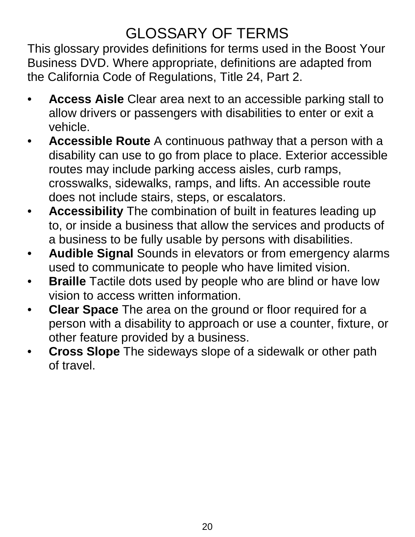## GLOSSARY OF TERMS

<span id="page-23-0"></span>This glossary provides definitions for terms used in the Boost Your Business DVD. Where appropriate, definitions are adapted from the California Code of Regulations, Title 24, Part 2.

- **Access Aisle** Clear area next to an accessible parking stall to allow drivers or passengers with disabilities to enter or exit a vehicle.
- **Accessible Route** A continuous pathway that a person with a disability can use to go from place to place. Exterior accessible routes may include parking access aisles, curb ramps, crosswalks, sidewalks, ramps, and lifts. An accessible route does not include stairs, steps, or escalators.
- **Accessibility** The combination of built in features leading up to, or inside a business that allow the services and products of a business to be fully usable by persons with disabilities.
- **Audible Signal** Sounds in elevators or from emergency alarms used to communicate to people who have limited vision.
- **Braille** Tactile dots used by people who are blind or have low vision to access written information.
- **Clear Space** The area on the ground or floor required for a person with a disability to approach or use a counter, fixture, or other feature provided by a business.
- **Cross Slope** The sideways slope of a sidewalk or other path of travel.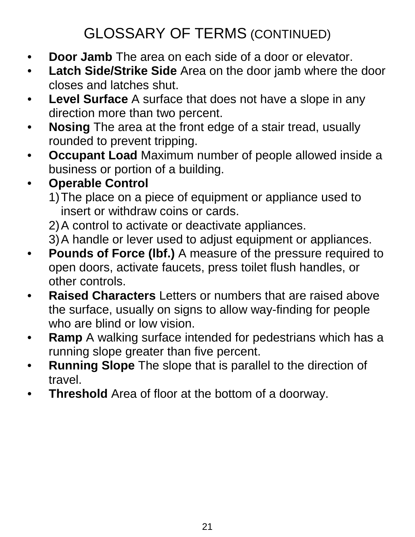# GLOSSARY OF TERMS (CONTINUED)

- **Door Jamb** The area on each side of a door or elevator.
- **Latch Side/Strike Side** Area on the door jamb where the door closes and latches shut.
- **Level Surface** A surface that does not have a slope in any direction more than two percent.
- **Nosing** The area at the front edge of a stair tread, usually rounded to prevent tripping.
- **Occupant Load** Maximum number of people allowed inside a business or portion of a building.

### • **Operable Control**

- 1)The place on a piece of equipment or appliance used to insert or withdraw coins or cards.
- 2)A control to activate or deactivate appliances.
- 3)A handle or lever used to adjust equipment or appliances.
- **Pounds of Force (lbf.)** A measure of the pressure required to open doors, activate faucets, press toilet flush handles, or other controls.
- **Raised Characters** Letters or numbers that are raised above the surface, usually on signs to allow way-finding for people who are blind or low vision.
- **Ramp** A walking surface intended for pedestrians which has a running slope greater than five percent.
- **Running Slope** The slope that is parallel to the direction of travel.
- **Threshold** Area of floor at the bottom of a doorway.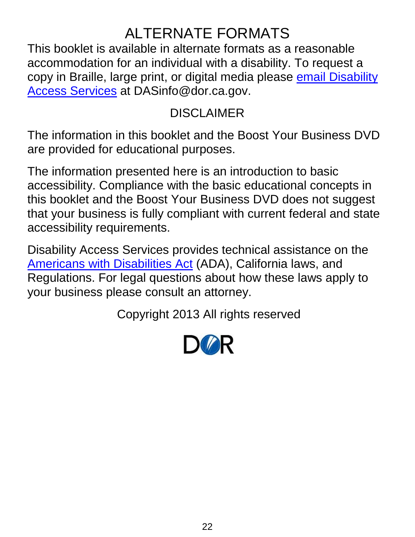## ALTERNATE FORMATS

This booklet is available in alternate formats as a reasonable accommodation for an individual with a disability. To request a copy in Braille, large print, or digital media please [email Disability](mailto:DASinfo@dor.ca.gov)  [Access Services](mailto:DASinfo@dor.ca.gov) at DASinfo@dor.ca.gov.

#### DISCLAIMER

The information in this booklet and the Boost Your Business DVD are provided for educational purposes.

The information presented here is an introduction to basic accessibility. Compliance with the basic educational concepts in this booklet and the Boost Your Business DVD does not suggest that your business is fully compliant with current federal and state accessibility requirements.

Disability Access Services provides technical assistance on the [Americans with Disabilities Act](http://www.ada.gov/) (ADA), California laws, and Regulations. For legal questions about how these laws apply to your business please consult an attorney.

Copyright 2013 All rights reserved

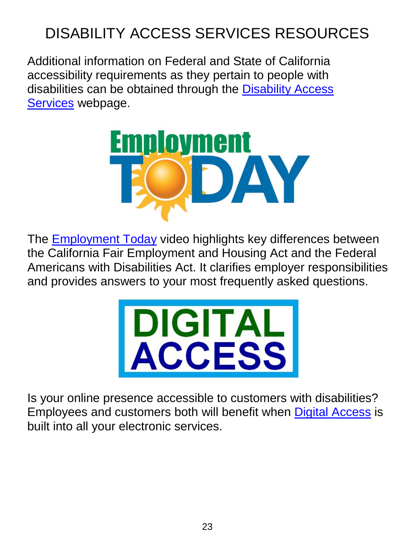# DISABILITY ACCESS SERVICES RESOURCES

Additional information on Federal and State of California accessibility requirements as they pertain to people with disabilities can be obtained through the [Disability Access](https://www.dor.ca.gov/Home/DisabilityAccessServices)  [Services](https://www.dor.ca.gov/Home/DisabilityAccessServices) webpage.



The **Employment Today** video highlights key differences between the California Fair Employment and Housing Act and the Federal Americans with Disabilities Act. It clarifies employer responsibilities and provides answers to your most frequently asked questions.



Is your online presence accessible to customers with disabilities? Employees and customers both will benefit when **Digital Access** is built into all your electronic services.